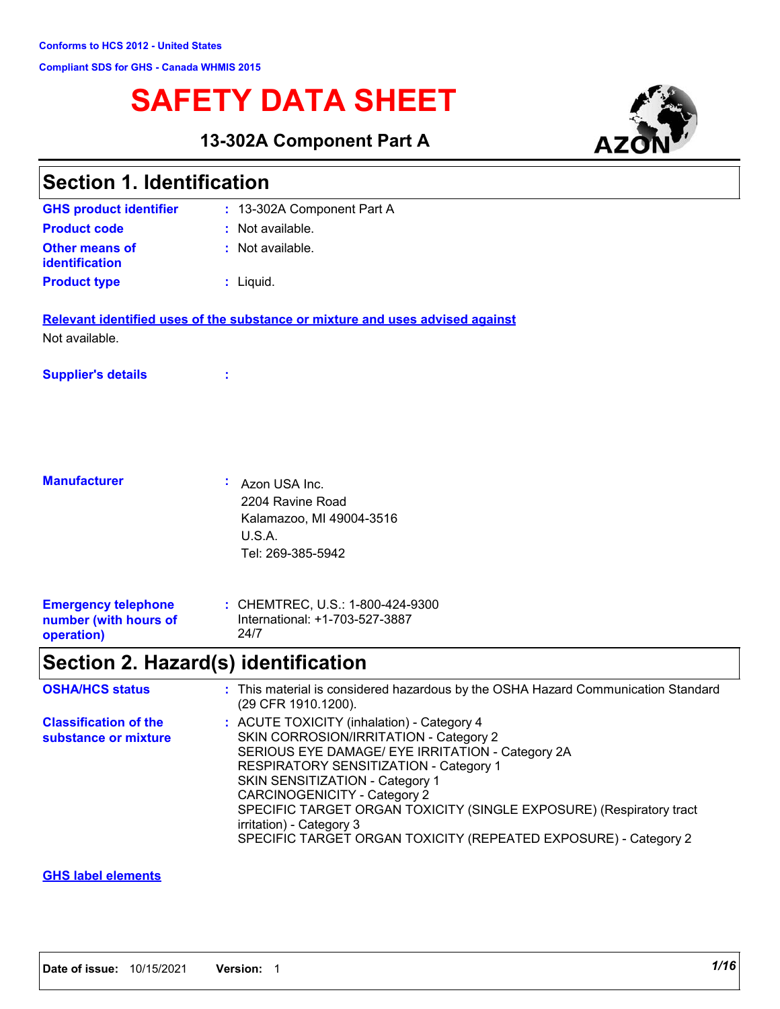# **SAFETY DATA SHEET**

**13-302A Component Part A**



| <b>Section 1. Identification</b>                                  |                                                                                                                                                                                                                                                                                                                                                                                                                                    |
|-------------------------------------------------------------------|------------------------------------------------------------------------------------------------------------------------------------------------------------------------------------------------------------------------------------------------------------------------------------------------------------------------------------------------------------------------------------------------------------------------------------|
| <b>GHS product identifier</b>                                     | : 13-302A Component Part A                                                                                                                                                                                                                                                                                                                                                                                                         |
| <b>Product code</b>                                               | : Not available.                                                                                                                                                                                                                                                                                                                                                                                                                   |
| <b>Other means of</b><br>identification                           | : Not available.                                                                                                                                                                                                                                                                                                                                                                                                                   |
| <b>Product type</b>                                               | : Liquid.                                                                                                                                                                                                                                                                                                                                                                                                                          |
|                                                                   | Relevant identified uses of the substance or mixture and uses advised against                                                                                                                                                                                                                                                                                                                                                      |
| Not available.                                                    |                                                                                                                                                                                                                                                                                                                                                                                                                                    |
| <b>Supplier's details</b>                                         |                                                                                                                                                                                                                                                                                                                                                                                                                                    |
|                                                                   |                                                                                                                                                                                                                                                                                                                                                                                                                                    |
| <b>Manufacturer</b>                                               | ÷.<br>Azon USA Inc.<br>2204 Ravine Road<br>Kalamazoo, MI 49004-3516<br>U.S.A.<br>Tel: 269-385-5942                                                                                                                                                                                                                                                                                                                                 |
| <b>Emergency telephone</b><br>number (with hours of<br>operation) | : CHEMTREC, U.S.: 1-800-424-9300<br>International: +1-703-527-3887<br>24/7                                                                                                                                                                                                                                                                                                                                                         |
|                                                                   | Section 2. Hazard(s) identification                                                                                                                                                                                                                                                                                                                                                                                                |
| <b>OSHA/HCS status</b>                                            | : This material is considered hazardous by the OSHA Hazard Communication Standard<br>(29 CFR 1910.1200).                                                                                                                                                                                                                                                                                                                           |
| <b>Classification of the</b><br>substance or mixture              | : ACUTE TOXICITY (inhalation) - Category 4<br>SKIN CORROSION/IRRITATION - Category 2<br>SERIOUS EYE DAMAGE/ EYE IRRITATION - Category 2A<br>RESPIRATORY SENSITIZATION - Category 1<br>SKIN SENSITIZATION - Category 1<br><b>CARCINOGENICITY - Category 2</b><br>SPECIFIC TARGET ORGAN TOXICITY (SINGLE EXPOSURE) (Respiratory tract<br>irritation) - Category 3<br>SPECIFIC TARGET ORGAN TOXICITY (REPEATED EXPOSURE) - Category 2 |

### **GHS label elements**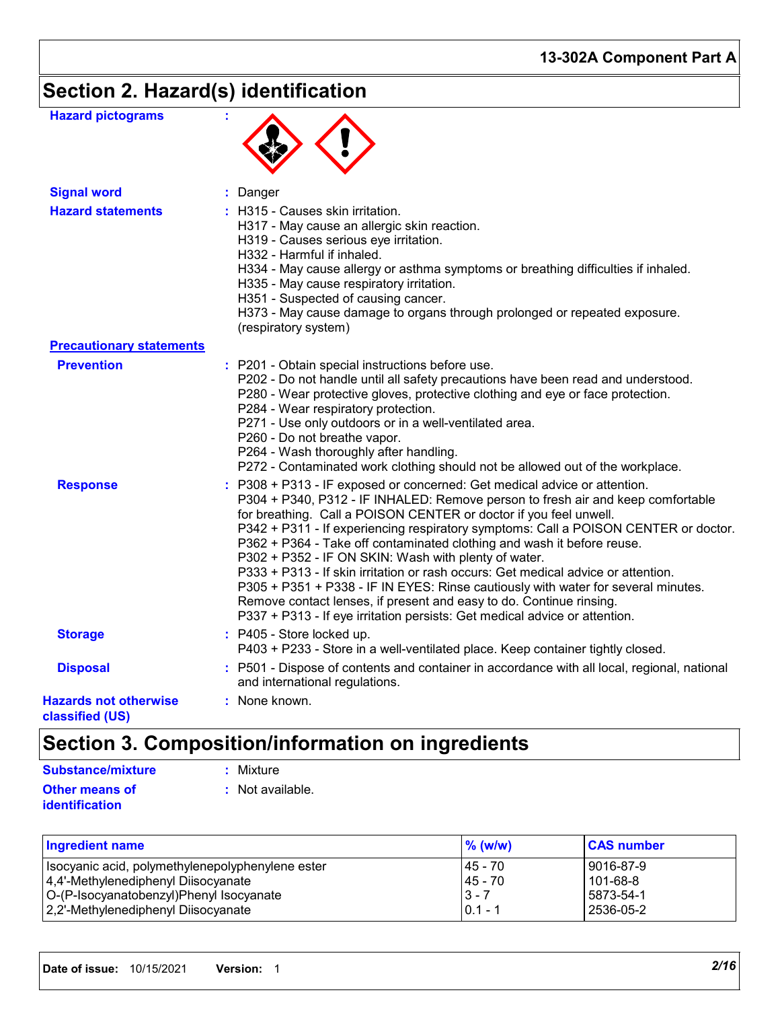# **Section 2. Hazard(s) identification**

| <b>Hazard pictograms</b>                        |                                                                                                                                                                                                                                                                                                                                                                                                                                                                                                                                                                                                                                                                                                                                                                                           |
|-------------------------------------------------|-------------------------------------------------------------------------------------------------------------------------------------------------------------------------------------------------------------------------------------------------------------------------------------------------------------------------------------------------------------------------------------------------------------------------------------------------------------------------------------------------------------------------------------------------------------------------------------------------------------------------------------------------------------------------------------------------------------------------------------------------------------------------------------------|
| <b>Signal word</b>                              | : Danger                                                                                                                                                                                                                                                                                                                                                                                                                                                                                                                                                                                                                                                                                                                                                                                  |
| <b>Hazard statements</b>                        | : H315 - Causes skin irritation.<br>H317 - May cause an allergic skin reaction.<br>H319 - Causes serious eye irritation.<br>H332 - Harmful if inhaled.<br>H334 - May cause allergy or asthma symptoms or breathing difficulties if inhaled.<br>H335 - May cause respiratory irritation.<br>H351 - Suspected of causing cancer.<br>H373 - May cause damage to organs through prolonged or repeated exposure.<br>(respiratory system)                                                                                                                                                                                                                                                                                                                                                       |
| <b>Precautionary statements</b>                 |                                                                                                                                                                                                                                                                                                                                                                                                                                                                                                                                                                                                                                                                                                                                                                                           |
| <b>Prevention</b>                               | : P201 - Obtain special instructions before use.<br>P202 - Do not handle until all safety precautions have been read and understood.<br>P280 - Wear protective gloves, protective clothing and eye or face protection.<br>P284 - Wear respiratory protection.<br>P271 - Use only outdoors or in a well-ventilated area.<br>P260 - Do not breathe vapor.<br>P264 - Wash thoroughly after handling.<br>P272 - Contaminated work clothing should not be allowed out of the workplace.                                                                                                                                                                                                                                                                                                        |
| <b>Response</b>                                 | : P308 + P313 - IF exposed or concerned: Get medical advice or attention.<br>P304 + P340, P312 - IF INHALED: Remove person to fresh air and keep comfortable<br>for breathing. Call a POISON CENTER or doctor if you feel unwell.<br>P342 + P311 - If experiencing respiratory symptoms: Call a POISON CENTER or doctor.<br>P362 + P364 - Take off contaminated clothing and wash it before reuse.<br>P302 + P352 - IF ON SKIN: Wash with plenty of water.<br>P333 + P313 - If skin irritation or rash occurs: Get medical advice or attention.<br>P305 + P351 + P338 - IF IN EYES: Rinse cautiously with water for several minutes.<br>Remove contact lenses, if present and easy to do. Continue rinsing.<br>P337 + P313 - If eye irritation persists: Get medical advice or attention. |
| <b>Storage</b>                                  | : P405 - Store locked up.<br>P403 + P233 - Store in a well-ventilated place. Keep container tightly closed.                                                                                                                                                                                                                                                                                                                                                                                                                                                                                                                                                                                                                                                                               |
| <b>Disposal</b>                                 | : P501 - Dispose of contents and container in accordance with all local, regional, national<br>and international regulations.                                                                                                                                                                                                                                                                                                                                                                                                                                                                                                                                                                                                                                                             |
| <b>Hazards not otherwise</b><br>classified (US) | : None known.                                                                                                                                                                                                                                                                                                                                                                                                                                                                                                                                                                                                                                                                                                                                                                             |

## **Section 3. Composition/information on ingredients**

| <b>Substance/mixture</b> | $:$ Mixture        |
|--------------------------|--------------------|
| <b>Other means of</b>    | $:$ Not available. |
| identification           |                    |

| <b>Ingredient name</b>                           | $\%$ (w/w) | <b>CAS number</b> |
|--------------------------------------------------|------------|-------------------|
| Isocyanic acid, polymethylenepolyphenylene ester | 145 - 70   | 9016-87-9         |
| 4,4'-Methylenediphenyl Diisocyanate              | 45 - 70    | $101 - 68 - 8$    |
| O-(P-Isocyanatobenzyl)Phenyl Isocyanate          | $3 - 7$    | 5873-54-1         |
| 2,2'-Methylenediphenyl Diisocyanate              | $0.1 - 1$  | 2536-05-2         |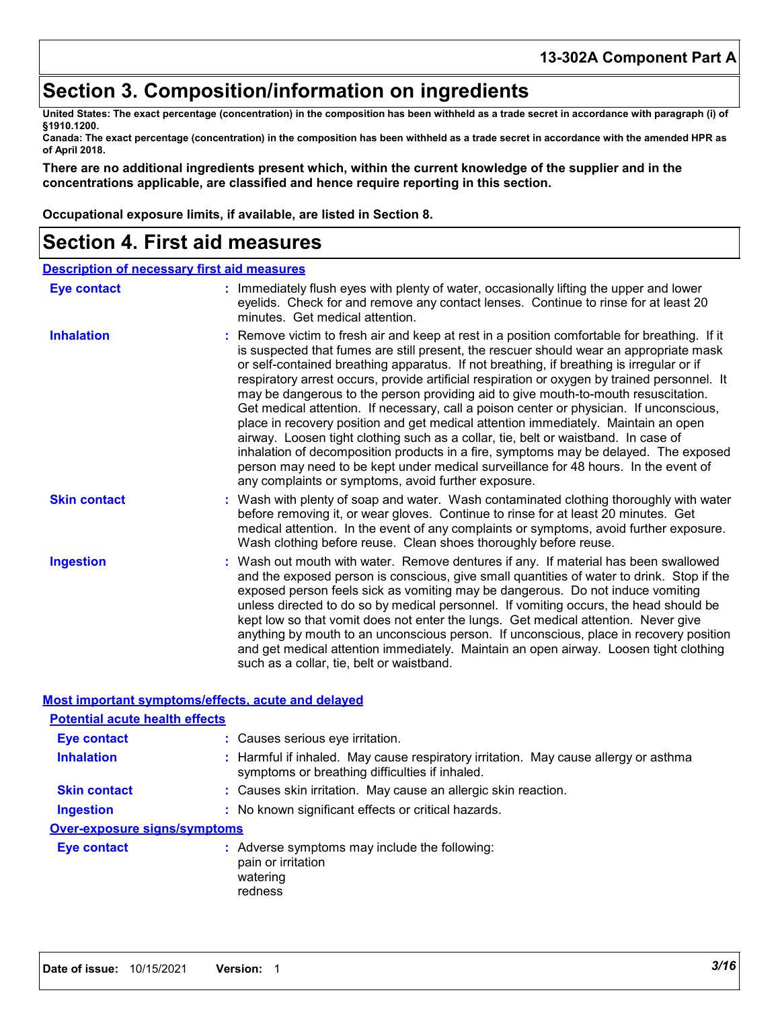## **Section 3. Composition/information on ingredients**

**United States: The exact percentage (concentration) in the composition has been withheld as a trade secret in accordance with paragraph (i) of §1910.1200.**

**Canada: The exact percentage (concentration) in the composition has been withheld as a trade secret in accordance with the amended HPR as of April 2018.**

**There are no additional ingredients present which, within the current knowledge of the supplier and in the concentrations applicable, are classified and hence require reporting in this section.**

**Occupational exposure limits, if available, are listed in Section 8.**

## **Section 4. First aid measures**

| <b>Description of necessary first aid measures</b> |                                                                                                                                                                                                                                                                                                                                                                                                                                                                                                                                                                                                                                                                                                                                                                                                                                                                                                                                                                                       |
|----------------------------------------------------|---------------------------------------------------------------------------------------------------------------------------------------------------------------------------------------------------------------------------------------------------------------------------------------------------------------------------------------------------------------------------------------------------------------------------------------------------------------------------------------------------------------------------------------------------------------------------------------------------------------------------------------------------------------------------------------------------------------------------------------------------------------------------------------------------------------------------------------------------------------------------------------------------------------------------------------------------------------------------------------|
| <b>Eye contact</b>                                 | : Immediately flush eyes with plenty of water, occasionally lifting the upper and lower<br>eyelids. Check for and remove any contact lenses. Continue to rinse for at least 20<br>minutes. Get medical attention.                                                                                                                                                                                                                                                                                                                                                                                                                                                                                                                                                                                                                                                                                                                                                                     |
| <b>Inhalation</b>                                  | : Remove victim to fresh air and keep at rest in a position comfortable for breathing. If it<br>is suspected that fumes are still present, the rescuer should wear an appropriate mask<br>or self-contained breathing apparatus. If not breathing, if breathing is irregular or if<br>respiratory arrest occurs, provide artificial respiration or oxygen by trained personnel. It<br>may be dangerous to the person providing aid to give mouth-to-mouth resuscitation.<br>Get medical attention. If necessary, call a poison center or physician. If unconscious,<br>place in recovery position and get medical attention immediately. Maintain an open<br>airway. Loosen tight clothing such as a collar, tie, belt or waistband. In case of<br>inhalation of decomposition products in a fire, symptoms may be delayed. The exposed<br>person may need to be kept under medical surveillance for 48 hours. In the event of<br>any complaints or symptoms, avoid further exposure. |
| <b>Skin contact</b>                                | : Wash with plenty of soap and water. Wash contaminated clothing thoroughly with water<br>before removing it, or wear gloves. Continue to rinse for at least 20 minutes. Get<br>medical attention. In the event of any complaints or symptoms, avoid further exposure.<br>Wash clothing before reuse. Clean shoes thoroughly before reuse.                                                                                                                                                                                                                                                                                                                                                                                                                                                                                                                                                                                                                                            |
| <b>Ingestion</b>                                   | : Wash out mouth with water. Remove dentures if any. If material has been swallowed<br>and the exposed person is conscious, give small quantities of water to drink. Stop if the<br>exposed person feels sick as vomiting may be dangerous. Do not induce vomiting<br>unless directed to do so by medical personnel. If vomiting occurs, the head should be<br>kept low so that vomit does not enter the lungs. Get medical attention. Never give<br>anything by mouth to an unconscious person. If unconscious, place in recovery position<br>and get medical attention immediately. Maintain an open airway. Loosen tight clothing<br>such as a collar, tie, belt or waistband.                                                                                                                                                                                                                                                                                                     |

### **Most important symptoms/effects, acute and delayed**

| <b>Potential acute health effects</b> |                                                                                                                                       |
|---------------------------------------|---------------------------------------------------------------------------------------------------------------------------------------|
| Eye contact                           | : Causes serious eye irritation.                                                                                                      |
| <b>Inhalation</b>                     | : Harmful if inhaled. May cause respiratory irritation. May cause allergy or asthma<br>symptoms or breathing difficulties if inhaled. |
| <b>Skin contact</b>                   | : Causes skin irritation. May cause an allergic skin reaction.                                                                        |
| <b>Ingestion</b>                      | : No known significant effects or critical hazards.                                                                                   |
| <b>Over-exposure signs/symptoms</b>   |                                                                                                                                       |
| Eye contact                           | : Adverse symptoms may include the following:<br>pain or irritation<br>watering<br>redness                                            |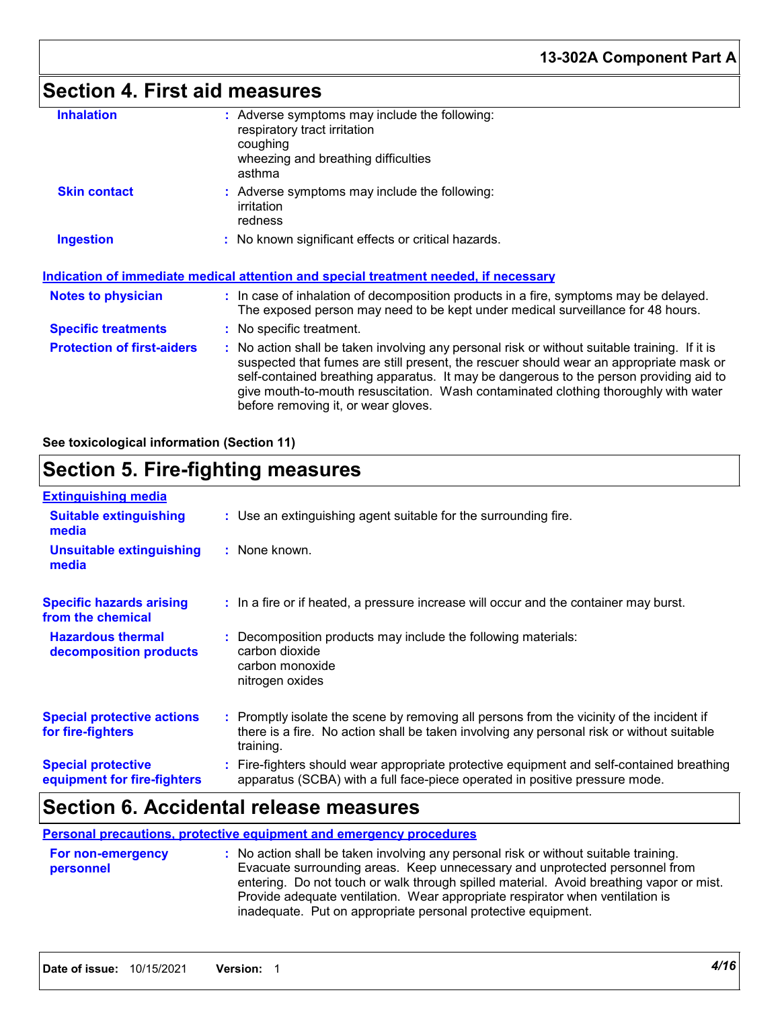## **Section 4. First aid measures**

| <b>Inhalation</b>                 | : Adverse symptoms may include the following:<br>respiratory tract irritation<br>coughing<br>wheezing and breathing difficulties<br>asthma                                                                                                                                                                                                                                                                      |
|-----------------------------------|-----------------------------------------------------------------------------------------------------------------------------------------------------------------------------------------------------------------------------------------------------------------------------------------------------------------------------------------------------------------------------------------------------------------|
| <b>Skin contact</b>               | : Adverse symptoms may include the following:<br>irritation<br>redness                                                                                                                                                                                                                                                                                                                                          |
| <b>Ingestion</b>                  | : No known significant effects or critical hazards.                                                                                                                                                                                                                                                                                                                                                             |
|                                   | <u>Indication of immediate medical attention and special treatment needed, if necessary</u>                                                                                                                                                                                                                                                                                                                     |
| Notes to physician                | : In case of inhalation of decomposition products in a fire, symptoms may be delayed.<br>The exposed person may need to be kept under medical surveillance for 48 hours.                                                                                                                                                                                                                                        |
| <b>Specific treatments</b>        | : No specific treatment.                                                                                                                                                                                                                                                                                                                                                                                        |
| <b>Protection of first-aiders</b> | : No action shall be taken involving any personal risk or without suitable training. If it is<br>suspected that fumes are still present, the rescuer should wear an appropriate mask or<br>self-contained breathing apparatus. It may be dangerous to the person providing aid to<br>give mouth-to-mouth resuscitation. Wash contaminated clothing thoroughly with water<br>before removing it, or wear gloves. |

**See toxicological information (Section 11)**

## **Section 5. Fire-fighting measures**

| <b>Extinguishing media</b>                               |                                                                                                                                                                                                     |
|----------------------------------------------------------|-----------------------------------------------------------------------------------------------------------------------------------------------------------------------------------------------------|
| <b>Suitable extinguishing</b><br>media                   | : Use an extinguishing agent suitable for the surrounding fire.                                                                                                                                     |
| <b>Unsuitable extinguishing</b><br>media                 | : None known.                                                                                                                                                                                       |
| <b>Specific hazards arising</b><br>from the chemical     | : In a fire or if heated, a pressure increase will occur and the container may burst.                                                                                                               |
| <b>Hazardous thermal</b><br>decomposition products       | Decomposition products may include the following materials:<br>carbon dioxide<br>carbon monoxide<br>nitrogen oxides                                                                                 |
| <b>Special protective actions</b><br>for fire-fighters   | : Promptly isolate the scene by removing all persons from the vicinity of the incident if<br>there is a fire. No action shall be taken involving any personal risk or without suitable<br>training. |
| <b>Special protective</b><br>equipment for fire-fighters | : Fire-fighters should wear appropriate protective equipment and self-contained breathing<br>apparatus (SCBA) with a full face-piece operated in positive pressure mode.                            |

## **Section 6. Accidental release measures**

### **Personal precautions, protective equipment and emergency procedures**

| <b>For non-emergency</b> | : No action shall be taken involving any personal risk or without suitable training.    |
|--------------------------|-----------------------------------------------------------------------------------------|
| personnel                | Evacuate surrounding areas. Keep unnecessary and unprotected personnel from             |
|                          | entering. Do not touch or walk through spilled material. Avoid breathing vapor or mist. |
|                          | Provide adequate ventilation. Wear appropriate respirator when ventilation is           |
|                          | inadequate. Put on appropriate personal protective equipment.                           |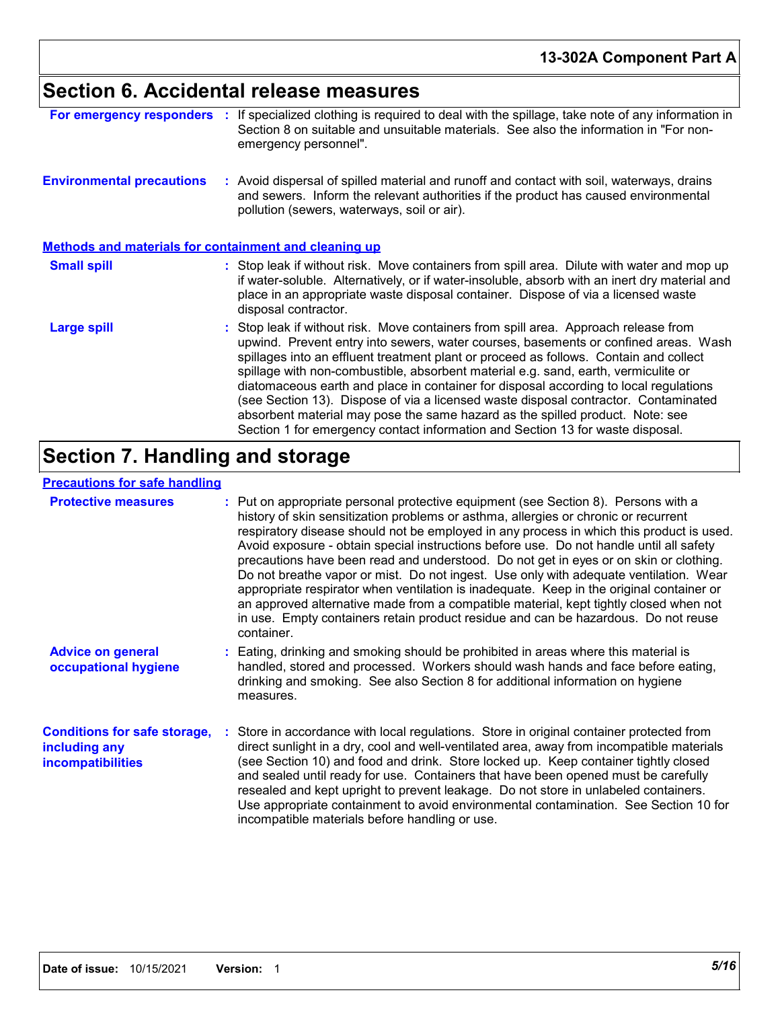# **Section 6. Accidental release measures**

| For emergency responders                                     | If specialized clothing is required to deal with the spillage, take note of any information in<br>Section 8 on suitable and unsuitable materials. See also the information in "For non-<br>emergency personnel".                                                                                                                                                                                                                                                                                                                                                                                                                                                                                             |
|--------------------------------------------------------------|--------------------------------------------------------------------------------------------------------------------------------------------------------------------------------------------------------------------------------------------------------------------------------------------------------------------------------------------------------------------------------------------------------------------------------------------------------------------------------------------------------------------------------------------------------------------------------------------------------------------------------------------------------------------------------------------------------------|
| <b>Environmental precautions</b>                             | : Avoid dispersal of spilled material and runoff and contact with soil, waterways, drains<br>and sewers. Inform the relevant authorities if the product has caused environmental<br>pollution (sewers, waterways, soil or air).                                                                                                                                                                                                                                                                                                                                                                                                                                                                              |
| <b>Methods and materials for containment and cleaning up</b> |                                                                                                                                                                                                                                                                                                                                                                                                                                                                                                                                                                                                                                                                                                              |
| <b>Small spill</b>                                           | : Stop leak if without risk. Move containers from spill area. Dilute with water and mop up<br>if water-soluble. Alternatively, or if water-insoluble, absorb with an inert dry material and<br>place in an appropriate waste disposal container. Dispose of via a licensed waste<br>disposal contractor.                                                                                                                                                                                                                                                                                                                                                                                                     |
| <b>Large spill</b>                                           | : Stop leak if without risk. Move containers from spill area. Approach release from<br>upwind. Prevent entry into sewers, water courses, basements or confined areas. Wash<br>spillages into an effluent treatment plant or proceed as follows. Contain and collect<br>spillage with non-combustible, absorbent material e.g. sand, earth, vermiculite or<br>diatomaceous earth and place in container for disposal according to local regulations<br>(see Section 13). Dispose of via a licensed waste disposal contractor. Contaminated<br>absorbent material may pose the same hazard as the spilled product. Note: see<br>Section 1 for emergency contact information and Section 13 for waste disposal. |

## **Section 7. Handling and storage**

## **Precautions for safe handling**

| <b>Protective measures</b>                                                       | : Put on appropriate personal protective equipment (see Section 8). Persons with a<br>history of skin sensitization problems or asthma, allergies or chronic or recurrent<br>respiratory disease should not be employed in any process in which this product is used.<br>Avoid exposure - obtain special instructions before use. Do not handle until all safety<br>precautions have been read and understood. Do not get in eyes or on skin or clothing.<br>Do not breathe vapor or mist. Do not ingest. Use only with adequate ventilation. Wear<br>appropriate respirator when ventilation is inadequate. Keep in the original container or<br>an approved alternative made from a compatible material, kept tightly closed when not<br>in use. Empty containers retain product residue and can be hazardous. Do not reuse<br>container. |
|----------------------------------------------------------------------------------|---------------------------------------------------------------------------------------------------------------------------------------------------------------------------------------------------------------------------------------------------------------------------------------------------------------------------------------------------------------------------------------------------------------------------------------------------------------------------------------------------------------------------------------------------------------------------------------------------------------------------------------------------------------------------------------------------------------------------------------------------------------------------------------------------------------------------------------------|
| <b>Advice on general</b><br>occupational hygiene                                 | : Eating, drinking and smoking should be prohibited in areas where this material is<br>handled, stored and processed. Workers should wash hands and face before eating,<br>drinking and smoking. See also Section 8 for additional information on hygiene<br>measures.                                                                                                                                                                                                                                                                                                                                                                                                                                                                                                                                                                      |
| <b>Conditions for safe storage,</b><br>including any<br><b>incompatibilities</b> | Store in accordance with local regulations. Store in original container protected from<br>direct sunlight in a dry, cool and well-ventilated area, away from incompatible materials<br>(see Section 10) and food and drink. Store locked up. Keep container tightly closed<br>and sealed until ready for use. Containers that have been opened must be carefully<br>resealed and kept upright to prevent leakage. Do not store in unlabeled containers.<br>Use appropriate containment to avoid environmental contamination. See Section 10 for<br>incompatible materials before handling or use.                                                                                                                                                                                                                                           |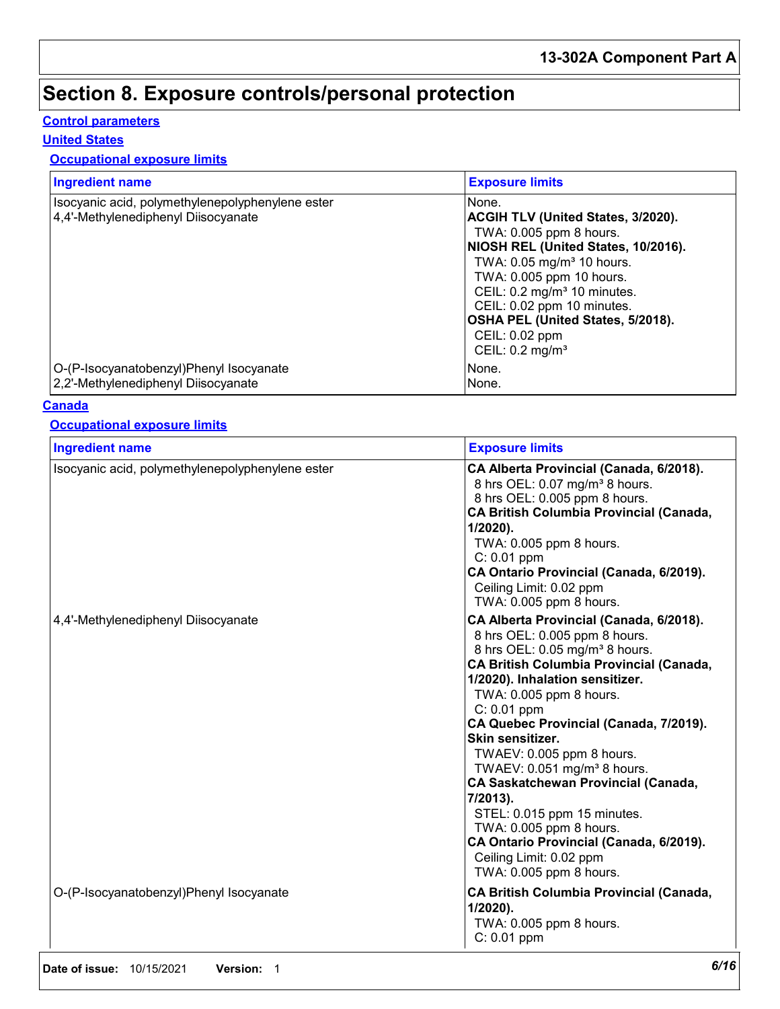## **Section 8. Exposure controls/personal protection**

## **Control parameters**

### **United States**

## **Occupational exposure limits**

| <b>Ingredient name</b>                                                                  | <b>Exposure limits</b>                                                                                                                                                                                                                                                                                                                                     |
|-----------------------------------------------------------------------------------------|------------------------------------------------------------------------------------------------------------------------------------------------------------------------------------------------------------------------------------------------------------------------------------------------------------------------------------------------------------|
| Isocyanic acid, polymethylenepolyphenylene ester<br>4,4'-Methylenediphenyl Diisocyanate | None.<br><b>ACGIH TLV (United States, 3/2020).</b><br>TWA: 0.005 ppm 8 hours.<br>NIOSH REL (United States, 10/2016).<br>TWA: 0.05 mg/m <sup>3</sup> 10 hours.<br>TWA: 0.005 ppm 10 hours.<br>CEIL: 0.2 mg/m <sup>3</sup> 10 minutes.<br>CEIL: 0.02 ppm 10 minutes.<br>OSHA PEL (United States, 5/2018).<br>CEIL: 0.02 ppm<br>CEIL: $0.2$ mg/m <sup>3</sup> |
| O-(P-Isocyanatobenzyl)Phenyl Isocyanate<br>2,2'-Methylenediphenyl Diisocyanate          | None.<br>None.                                                                                                                                                                                                                                                                                                                                             |

### **Canada**

#### **Occupational exposure limits**

| <b>Ingredient name</b>                           | <b>Exposure limits</b>                                                                                                                                                                                                                                                                                                                                                                                                                                                                                                                                                                                           |
|--------------------------------------------------|------------------------------------------------------------------------------------------------------------------------------------------------------------------------------------------------------------------------------------------------------------------------------------------------------------------------------------------------------------------------------------------------------------------------------------------------------------------------------------------------------------------------------------------------------------------------------------------------------------------|
| Isocyanic acid, polymethylenepolyphenylene ester | CA Alberta Provincial (Canada, 6/2018).<br>8 hrs OEL: 0.07 mg/m <sup>3</sup> 8 hours.<br>8 hrs OEL: 0.005 ppm 8 hours.<br>CA British Columbia Provincial (Canada,<br>$1/2020$ ).<br>TWA: 0.005 ppm 8 hours.<br>$C: 0.01$ ppm<br>CA Ontario Provincial (Canada, 6/2019).<br>Ceiling Limit: 0.02 ppm<br>TWA: 0.005 ppm 8 hours.                                                                                                                                                                                                                                                                                    |
| 4,4'-Methylenediphenyl Diisocyanate              | CA Alberta Provincial (Canada, 6/2018).<br>8 hrs OEL: 0.005 ppm 8 hours.<br>8 hrs OEL: 0.05 mg/m <sup>3</sup> 8 hours.<br><b>CA British Columbia Provincial (Canada,</b><br>1/2020). Inhalation sensitizer.<br>TWA: 0.005 ppm 8 hours.<br>C: 0.01 ppm<br>CA Quebec Provincial (Canada, 7/2019).<br>Skin sensitizer.<br>TWAEV: 0.005 ppm 8 hours.<br>TWAEV: 0.051 mg/m <sup>3</sup> 8 hours.<br><b>CA Saskatchewan Provincial (Canada,</b><br>7/2013).<br>STEL: 0.015 ppm 15 minutes.<br>TWA: 0.005 ppm 8 hours.<br>CA Ontario Provincial (Canada, 6/2019).<br>Ceiling Limit: 0.02 ppm<br>TWA: 0.005 ppm 8 hours. |
| O-(P-Isocyanatobenzyl)Phenyl Isocyanate          | <b>CA British Columbia Provincial (Canada,</b><br>$1/2020$ ).<br>TWA: 0.005 ppm 8 hours.<br>$C: 0.01$ ppm                                                                                                                                                                                                                                                                                                                                                                                                                                                                                                        |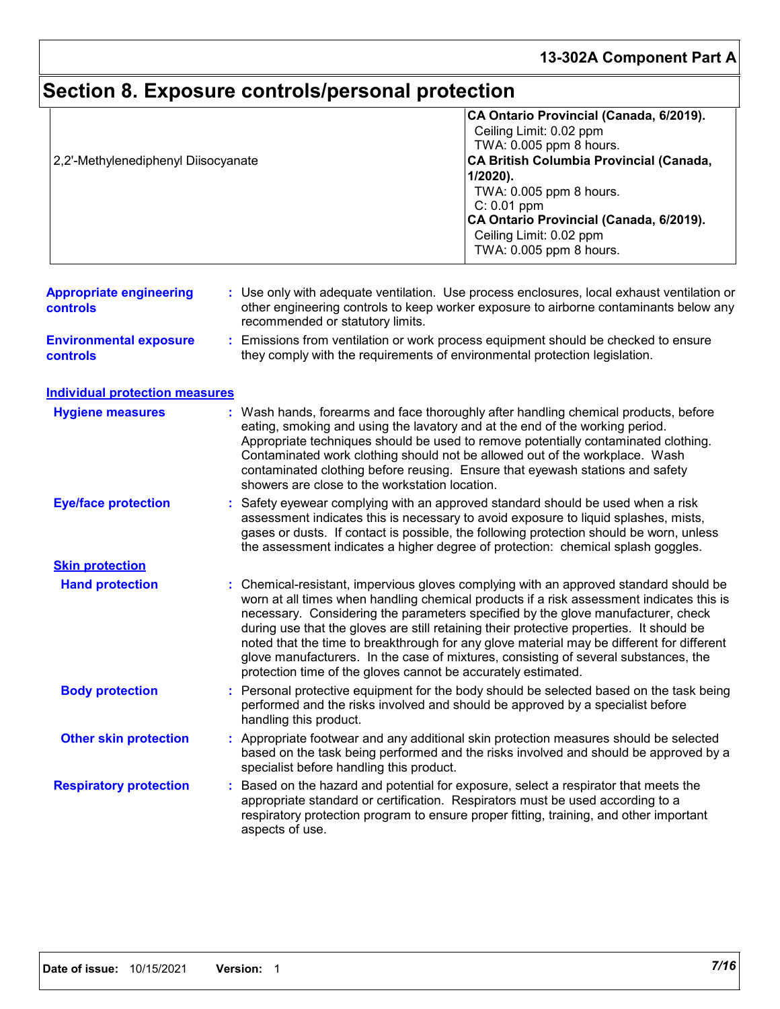### **13-302A Component Part A**

#### **Section 8. Exposure controls/personal protection Hand protection** Based on the hazard and potential for exposure, select a respirator that meets the appropriate standard or certification. Respirators must be used according to a respiratory protection program to ensure proper fitting, training, and other important aspects of use. Chemical-resistant, impervious gloves complying with an approved standard should be **:** worn at all times when handling chemical products if a risk assessment indicates this is necessary. Considering the parameters specified by the glove manufacturer, check during use that the gloves are still retaining their protective properties. It should be noted that the time to breakthrough for any glove material may be different for different glove manufacturers. In the case of mixtures, consisting of several substances, the protection time of the gloves cannot be accurately estimated. Safety eyewear complying with an approved standard should be used when a risk **:** assessment indicates this is necessary to avoid exposure to liquid splashes, mists, gases or dusts. If contact is possible, the following protection should be worn, unless the assessment indicates a higher degree of protection: chemical splash goggles. **Eye/face protection Respiratory protection : Body protection** : Personal protective equipment for the body should be selected based on the task being **Boody** performed and the risks involved and should be approved by a specialist before handling this product. **Environmental exposure controls :** Emissions from ventilation or work process equipment should be checked to ensure they comply with the requirements of environmental protection legislation. **Appropriate engineering controls :** Use only with adequate ventilation. Use process enclosures, local exhaust ventilation or other engineering controls to keep worker exposure to airborne contaminants below any recommended or statutory limits. Wash hands, forearms and face thoroughly after handling chemical products, before eating, smoking and using the lavatory and at the end of the working period. Appropriate techniques should be used to remove potentially contaminated clothing. Contaminated work clothing should not be allowed out of the workplace. Wash contaminated clothing before reusing. Ensure that eyewash stations and safety showers are close to the workstation location. **Hygiene measures : Individual protection measures Skin protection Other skin protection :** Appropriate footwear and any additional skin protection measures should be selected based on the task being performed and the risks involved and should be approved by a specialist before handling this product. **CA Ontario Provincial (Canada, 6/2019).** Ceiling Limit: 0.02 ppm TWA: 0.005 ppm 8 hours. 2,2'-Methylenediphenyl Diisocyanate **CA British Columbia Provincial (Canada, 1/2020).** TWA: 0.005 ppm 8 hours. C: 0.01 ppm **CA Ontario Provincial (Canada, 6/2019).** Ceiling Limit: 0.02 ppm TWA: 0.005 ppm 8 hours.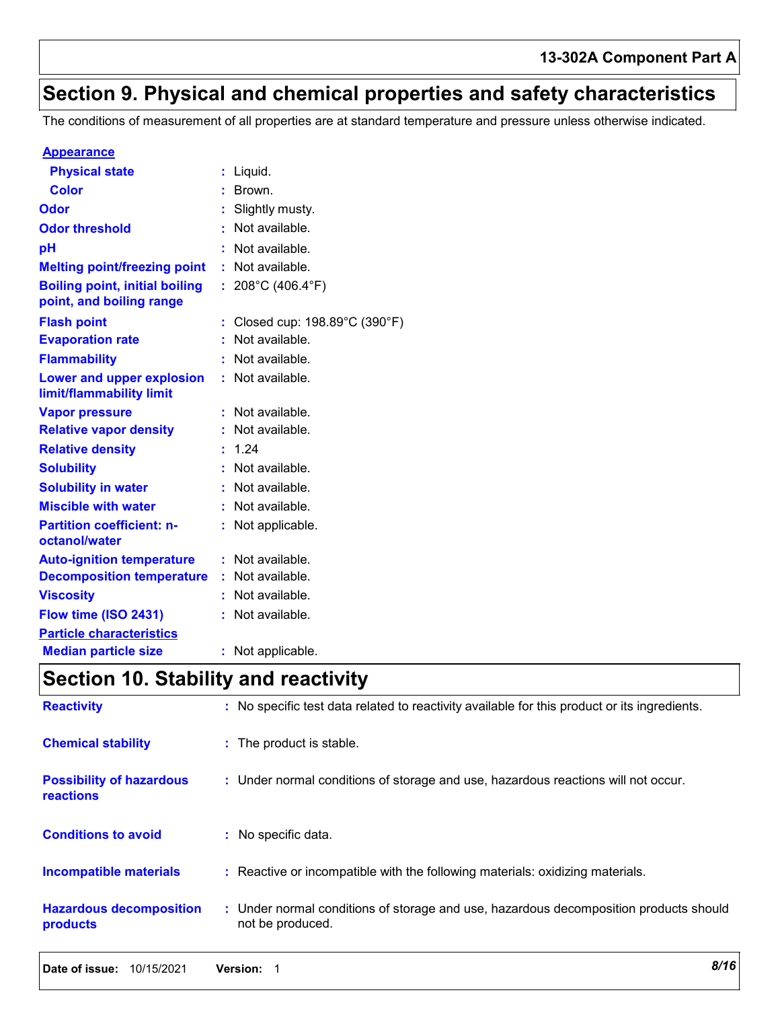## **Section 9. Physical and chemical properties and safety characteristics**

The conditions of measurement of all properties are at standard temperature and pressure unless otherwise indicated.

#### **Appearance**

| <b>Physical state</b>                                             |    | Liquid.                      |
|-------------------------------------------------------------------|----|------------------------------|
| <b>Color</b>                                                      |    | Brown.                       |
| Odor                                                              |    | : Slightly musty.            |
| <b>Odor threshold</b>                                             |    | Not available.               |
| pH                                                                |    | Not available.               |
| <b>Melting point/freezing point</b>                               | t. | Not available.               |
| <b>Boiling point, initial boiling</b><br>point, and boiling range |    | : 208°C (406.4°F)            |
| <b>Flash point</b>                                                |    | Closed cup: 198.89°C (390°F) |
| <b>Evaporation rate</b>                                           |    | Not available.               |
| <b>Flammability</b>                                               |    | Not available.               |
| <b>Lower and upper explosion</b><br>limit/flammability limit      | t. | Not available.               |
| <b>Vapor pressure</b>                                             |    | Not available.               |
| <b>Relative vapor density</b>                                     |    | Not available.               |
| <b>Relative density</b>                                           | t. | 1.24                         |
| <b>Solubility</b>                                                 |    | : Not available.             |
| <b>Solubility in water</b>                                        |    | : Not available.             |
| <b>Miscible with water</b>                                        |    | Not available.               |
| <b>Partition coefficient: n-</b><br>octanol/water                 |    | Not applicable.              |
| <b>Auto-ignition temperature</b>                                  | t. | Not available.               |
| <b>Decomposition temperature</b>                                  |    | Not available.               |
| <b>Viscosity</b>                                                  |    | Not available.               |
| Flow time (ISO 2431)                                              |    | Not available.               |
| <b>Particle characteristics</b>                                   |    |                              |
| <b>Median particle size</b>                                       |    | Not applicable.              |

## **Section 10. Stability and reactivity**

| <b>Reactivity</b>                            | : No specific test data related to reactivity available for this product or its ingredients.              |
|----------------------------------------------|-----------------------------------------------------------------------------------------------------------|
| <b>Chemical stability</b>                    | : The product is stable.                                                                                  |
| <b>Possibility of hazardous</b><br>reactions | : Under normal conditions of storage and use, hazardous reactions will not occur.                         |
| <b>Conditions to avoid</b>                   | : No specific data.                                                                                       |
| Incompatible materials                       | : Reactive or incompatible with the following materials: oxidizing materials.                             |
| <b>Hazardous decomposition</b><br>products   | : Under normal conditions of storage and use, hazardous decomposition products should<br>not be produced. |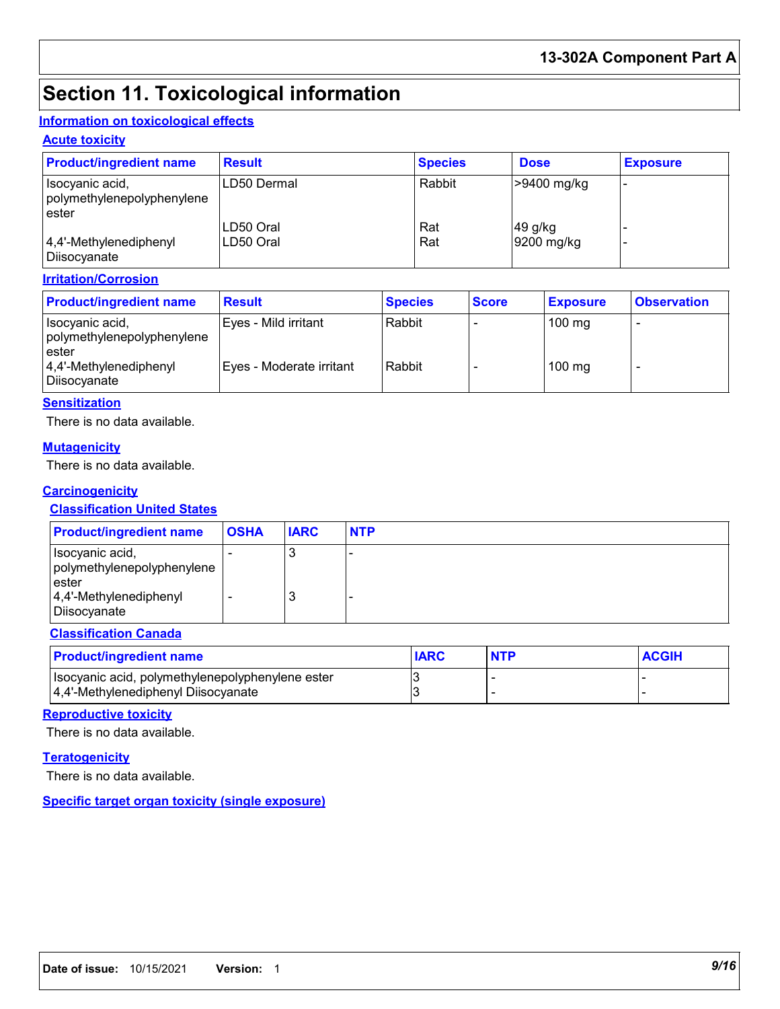## **Section 11. Toxicological information**

## **Information on toxicological effects**

### **Acute toxicity**

| <b>Product/ingredient name</b>                         | <b>Result</b>          | <b>Species</b> | <b>Dose</b>           | <b>Exposure</b> |
|--------------------------------------------------------|------------------------|----------------|-----------------------|-----------------|
| Isocyanic acid,<br>polymethylenepolyphenylene<br>ester | LD50 Dermal            | Rabbit         | >9400 mg/kg           |                 |
| $ 4,4'$ -Methylenediphenyl<br>  Diisocyanate           | LD50 Oral<br>LD50 Oral | Rat<br>Rat     | 49 g/kg<br>9200 mg/kg |                 |

### **Irritation/Corrosion**

| <b>Product/ingredient name</b>                          | <b>Result</b>            | <b>Species</b> | <b>Score</b> | <b>Exposure</b>  | <b>Observation</b> |
|---------------------------------------------------------|--------------------------|----------------|--------------|------------------|--------------------|
| Isocyanic acid,<br>polymethylenepolyphenylene<br>lester | Eyes - Mild irritant     | Rabbit         |              | $100 \text{ mg}$ |                    |
| $ 4,4'$ -Methylenediphenyl<br>Diisocyanate              | Eves - Moderate irritant | Rabbit         |              | $100$ mg         |                    |

#### **Sensitization**

There is no data available.

### **Mutagenicity**

There is no data available.

### **Carcinogenicity**

### **Classification United States**

| <b>Product/ingredient name</b>                                                                       | <b>OSHA</b> | <b>IARC</b> | <b>NTP</b> |
|------------------------------------------------------------------------------------------------------|-------------|-------------|------------|
| Isocyanic acid,<br>polymethylenepolyphenylene<br>ester<br>$ 4,4'$ -Methylenediphenyl<br>Diisocyanate |             | J<br>3      |            |

### **Classification Canada**

| <b>Product/ingredient name</b>                   | <b>IARC</b> | <b>NTP</b> | <b>ACGIH</b> |
|--------------------------------------------------|-------------|------------|--------------|
| Isocyanic acid, polymethylenepolyphenylene ester |             |            |              |
| 4,4'-Methylenediphenyl Diisocyanate              |             |            |              |

### **Reproductive toxicity**

There is no data available.

### **Teratogenicity**

There is no data available.

### **Specific target organ toxicity (single exposure)**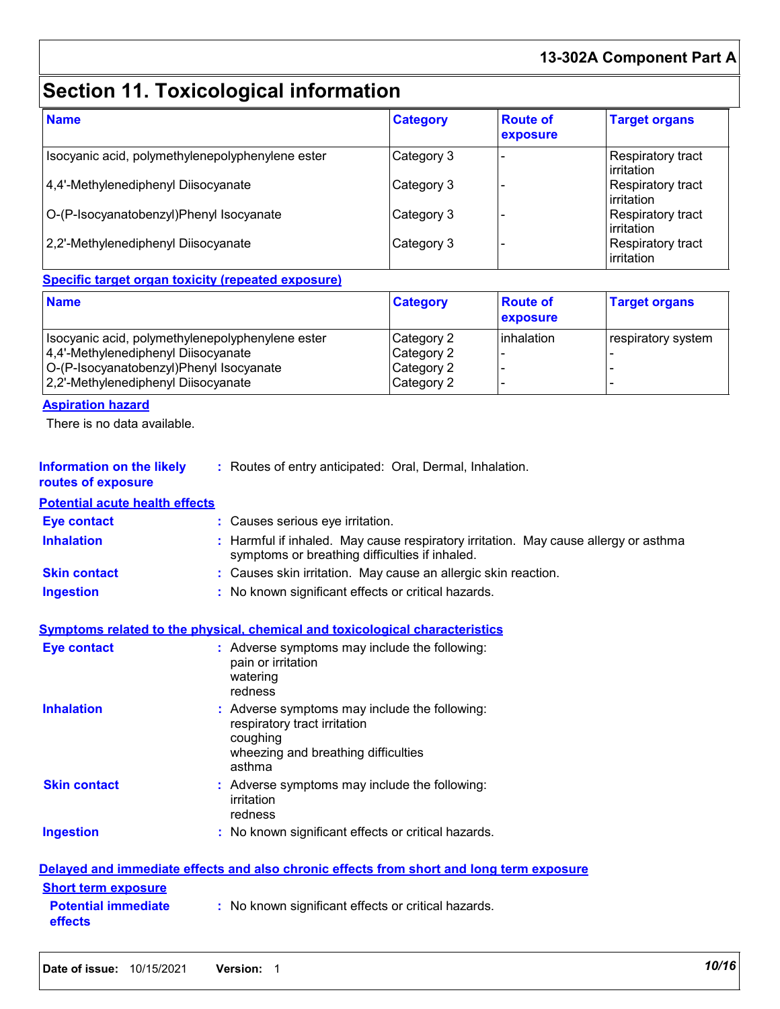## **13-302A Component Part A**

## **Section 11. Toxicological information**

| <b>Name</b>                                      | <b>Category</b> | <b>Route of</b><br>exposure | <b>Target organs</b>                   |
|--------------------------------------------------|-----------------|-----------------------------|----------------------------------------|
| Isocyanic acid, polymethylenepolyphenylene ester | Category 3      |                             | <b>Respiratory tract</b><br>irritation |
| 4,4'-Methylenediphenyl Diisocyanate              | Category 3      |                             | <b>Respiratory tract</b><br>irritation |
| O-(P-Isocyanatobenzyl)Phenyl Isocyanate          | Category 3      |                             | Respiratory tract<br>irritation        |
| 2,2'-Methylenediphenyl Diisocyanate              | Category 3      |                             | Respiratory tract<br>irritation        |

### **Specific target organ toxicity (repeated exposure)**

| <b>Name</b>                                      | <b>Category</b> | <b>Route of</b><br><b>exposure</b> | <b>Target organs</b> |
|--------------------------------------------------|-----------------|------------------------------------|----------------------|
| Isocyanic acid, polymethylenepolyphenylene ester | Category 2      | inhalation                         | respiratory system   |
| 4,4'-Methylenediphenyl Diisocyanate              | Category 2      |                                    |                      |
| O-(P-Isocyanatobenzyl)Phenyl Isocyanate          | Category 2      |                                    |                      |
| 2,2'-Methylenediphenyl Diisocyanate              | Category 2      |                                    |                      |

### **Aspiration hazard**

There is no data available.

| <b>Information on the likely</b> | Routes of entry anticipated: Oral, Dermal, Inhalation. |  |
|----------------------------------|--------------------------------------------------------|--|
|                                  |                                                        |  |

## **routes of exposure**

| <u>Potential acute health effects</u> |                                                                                                                                       |
|---------------------------------------|---------------------------------------------------------------------------------------------------------------------------------------|
| <b>Eye contact</b>                    | : Causes serious eye irritation.                                                                                                      |
| <b>Inhalation</b>                     | : Harmful if inhaled. May cause respiratory irritation. May cause allergy or asthma<br>symptoms or breathing difficulties if inhaled. |
| <b>Skin contact</b>                   | : Causes skin irritation. May cause an allergic skin reaction.                                                                        |
| <b>Ingestion</b>                      | : No known significant effects or critical hazards.                                                                                   |

### **Symptoms related to the physical, chemical and toxicological characteristics**

| <b>Eye contact</b>  | : Adverse symptoms may include the following:<br>pain or irritation<br>watering<br>redness                                                 |
|---------------------|--------------------------------------------------------------------------------------------------------------------------------------------|
| <b>Inhalation</b>   | : Adverse symptoms may include the following:<br>respiratory tract irritation<br>coughing<br>wheezing and breathing difficulties<br>asthma |
| <b>Skin contact</b> | : Adverse symptoms may include the following:<br>irritation<br>redness                                                                     |
| Ingestion           | : No known significant effects or critical hazards.                                                                                        |

|                                              | Delayed and immediate effects and also chronic effects from short and long term exposure |
|----------------------------------------------|------------------------------------------------------------------------------------------|
| <b>Short term exposure</b>                   |                                                                                          |
| <b>Potential immediate</b><br><b>effects</b> | : No known significant effects or critical hazards.                                      |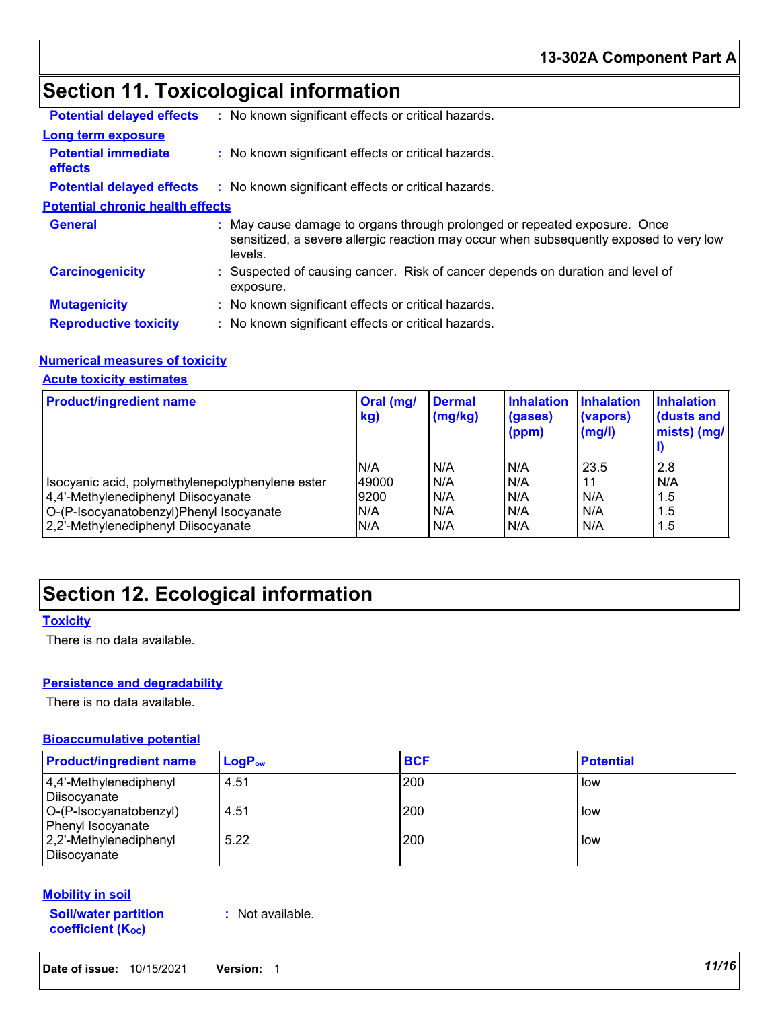## **Section 11. Toxicological information**

| <b>Potential delayed effects</b>             | : No known significant effects or critical hazards.                                                                                                                            |  |
|----------------------------------------------|--------------------------------------------------------------------------------------------------------------------------------------------------------------------------------|--|
| Long term exposure                           |                                                                                                                                                                                |  |
| <b>Potential immediate</b><br><b>effects</b> | : No known significant effects or critical hazards.                                                                                                                            |  |
| <b>Potential delayed effects</b>             | : No known significant effects or critical hazards.                                                                                                                            |  |
| <b>Potential chronic health effects</b>      |                                                                                                                                                                                |  |
| <b>General</b>                               | : May cause damage to organs through prolonged or repeated exposure. Once<br>sensitized, a severe allergic reaction may occur when subsequently exposed to very low<br>levels. |  |
| <b>Carcinogenicity</b>                       | : Suspected of causing cancer. Risk of cancer depends on duration and level of<br>exposure.                                                                                    |  |
| <b>Mutagenicity</b>                          | : No known significant effects or critical hazards.                                                                                                                            |  |
| <b>Reproductive toxicity</b>                 | : No known significant effects or critical hazards.                                                                                                                            |  |

### **Numerical measures of toxicity**

### **Acute toxicity estimates**

| <b>Product/ingredient name</b>                   | Oral (mg/<br>kg) | <b>Dermal</b><br>(mg/kg) | <b>Inhalation</b><br>(gases)<br>(ppm) | <b>Inhalation</b><br>(vapors)<br>(mg/l) | <b>Inhalation</b><br>(dusts and<br>mists) (mg/ |
|--------------------------------------------------|------------------|--------------------------|---------------------------------------|-----------------------------------------|------------------------------------------------|
|                                                  | N/A              | N/A                      | IN/A                                  | 23.5                                    | 2.8                                            |
| Isocyanic acid, polymethylenepolyphenylene ester | 49000            | N/A                      | N/A                                   | 11                                      | N/A                                            |
| 4,4'-Methylenediphenyl Diisocyanate              | 9200             | N/A                      | N/A                                   | N/A                                     | 1.5                                            |
| O-(P-Isocyanatobenzyl)Phenyl Isocyanate          | N/A              | N/A                      | N/A                                   | N/A                                     | 1.5                                            |
| 2,2'-Methylenediphenyl Diisocyanate              | N/A              | N/A                      | N/A                                   | N/A                                     | 1.5                                            |

## **Section 12. Ecological information**

### **Toxicity**

There is no data available.

### **Persistence and degradability**

There is no data available.

### **Bioaccumulative potential**

| <b>Product/ingredient name</b>              | $LogP_{ow}$ | <b>BCF</b> | <b>Potential</b> |
|---------------------------------------------|-------------|------------|------------------|
| 4,4'-Methylenediphenyl<br>Diisocyanate      | 4.51        | 200        | low              |
| O-(P-Isocyanatobenzyl)<br>Phenyl Isocyanate | 4.51        | 200        | low              |
| 2,2'-Methylenediphenyl<br>Diisocyanate      | 5.22        | 200        | low              |

### **Mobility in soil**

**Soil/water partition coefficient (KOC)**

**:** Not available.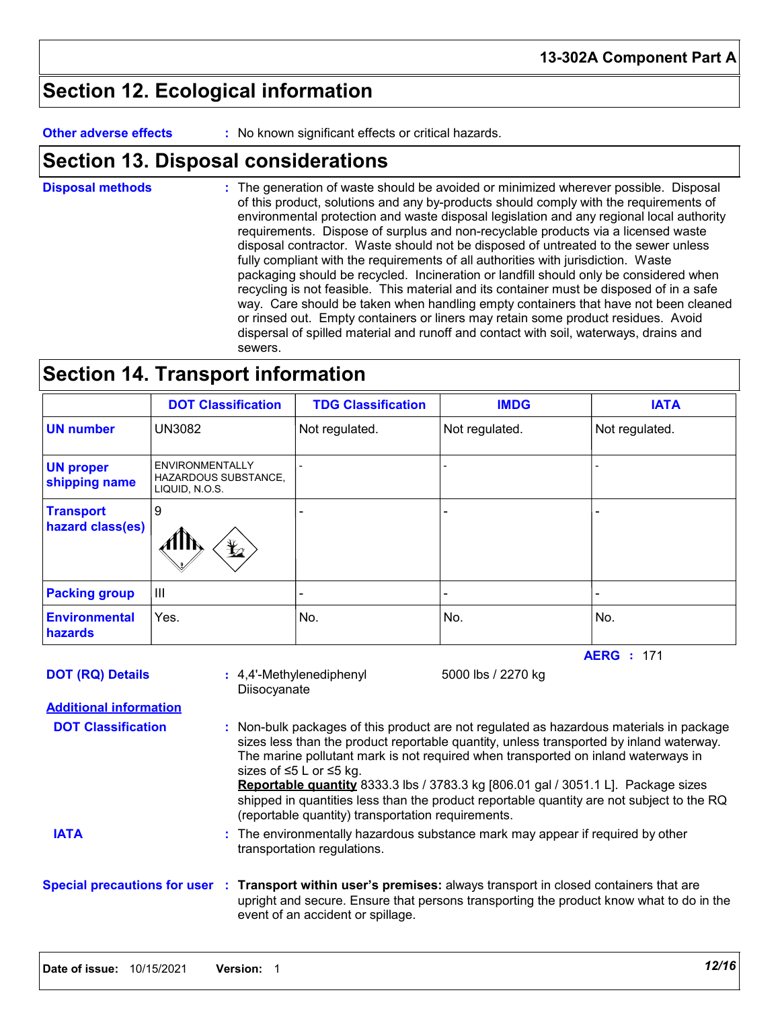## **Section 12. Ecological information**

**Other adverse effects** : No known significant effects or critical hazards.

## **Section 13. Disposal considerations**

The generation of waste should be avoided or minimized wherever possible. Disposal of this product, solutions and any by-products should comply with the requirements of environmental protection and waste disposal legislation and any regional local authority requirements. Dispose of surplus and non-recyclable products via a licensed waste disposal contractor. Waste should not be disposed of untreated to the sewer unless fully compliant with the requirements of all authorities with jurisdiction. Waste packaging should be recycled. Incineration or landfill should only be considered when recycling is not feasible. This material and its container must be disposed of in a safe way. Care should be taken when handling empty containers that have not been cleaned or rinsed out. Empty containers or liners may retain some product residues. Avoid dispersal of spilled material and runoff and contact with soil, waterways, drains and sewers. **Disposal methods :**

## **Section 14. Transport information**

|                                        | <b>DOT Classification</b>                                        | <b>TDG Classification</b> | <b>IMDG</b>    | <b>IATA</b>       |
|----------------------------------------|------------------------------------------------------------------|---------------------------|----------------|-------------------|
| <b>UN number</b>                       | <b>UN3082</b>                                                    | Not regulated.            | Not regulated. | Not regulated.    |
| <b>UN proper</b><br>shipping name      | <b>ENVIRONMENTALLY</b><br>HAZARDOUS SUBSTANCE,<br>LIQUID, N.O.S. |                           |                |                   |
| <b>Transport</b><br>hazard class(es)   | 9<br>$\mathbf{\mathcal{L}}$                                      |                           |                |                   |
| <b>Packing group</b>                   | IШ                                                               | -                         |                |                   |
| <b>Environmental</b><br><b>hazards</b> | Yes.                                                             | No.                       | No.            | No.               |
|                                        |                                                                  |                           |                | <b>AERG</b> : 171 |

**Additional information DOT (RQ) Details** : 4,4'-Methylenediphenyl 5000 lbs / 2270 kg **Diisocyanate** 

Non-bulk packages of this product are not regulated as hazardous materials in package **:** sizes less than the product reportable quantity, unless transported by inland waterway. The marine pollutant mark is not required when transported on inland waterways in sizes of ≤5 L or ≤5 kg. **Reportable quantity** 8333.3 lbs / 3783.3 kg [806.01 gal / 3051.1 L]. Package sizes shipped in quantities less than the product reportable quantity are not subject to the RQ (reportable quantity) transportation requirements. **DOT Classification**

The environmentally hazardous substance mark may appear if required by other **:** transportation regulations. **IATA**

**Special precautions for user Transport within user's premises:** always transport in closed containers that are **:** upright and secure. Ensure that persons transporting the product know what to do in the event of an accident or spillage.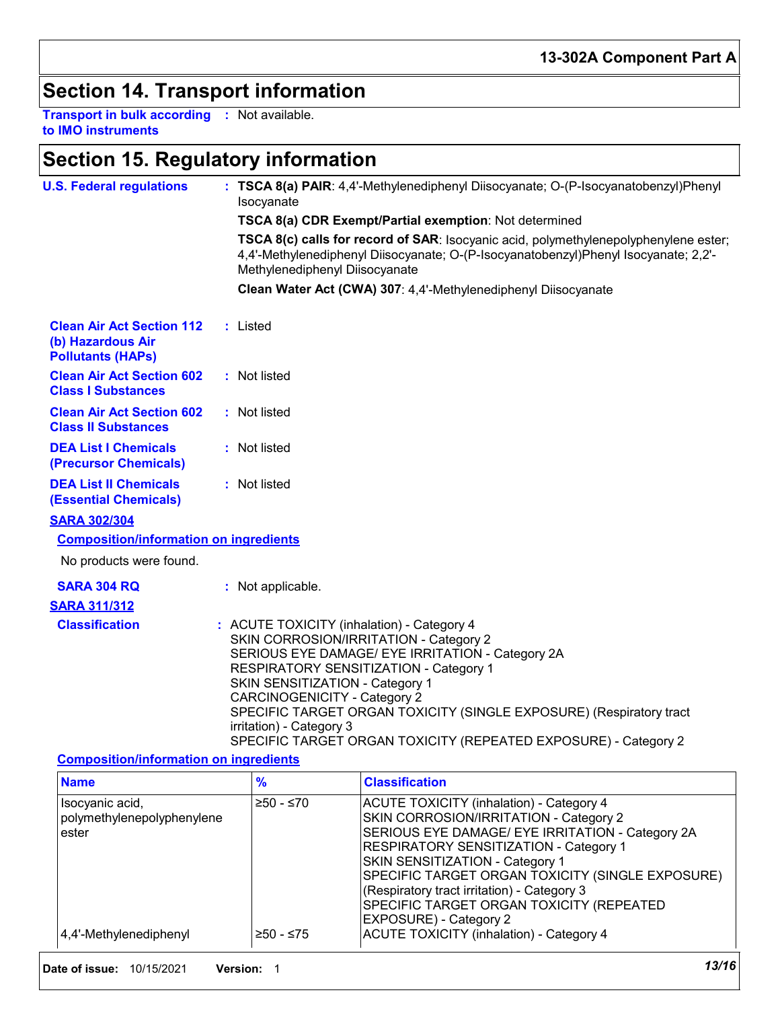## **Section 14. Transport information**

**Transport in bulk according :** Not available. **to IMO instruments**

## **Section 15. Regulatory information**

| <b>U.S. Federal regulations</b>                                                   | : TSCA 8(a) PAIR: 4,4'-Methylenediphenyl Diisocyanate; O-(P-Isocyanatobenzyl)Phenyl<br>Isocyanate                                                                                                                                                                                                                                                                                                                                  |
|-----------------------------------------------------------------------------------|------------------------------------------------------------------------------------------------------------------------------------------------------------------------------------------------------------------------------------------------------------------------------------------------------------------------------------------------------------------------------------------------------------------------------------|
|                                                                                   | TSCA 8(a) CDR Exempt/Partial exemption: Not determined                                                                                                                                                                                                                                                                                                                                                                             |
|                                                                                   | TSCA 8(c) calls for record of SAR: Isocyanic acid, polymethylenepolyphenylene ester;<br>4,4'-Methylenediphenyl Diisocyanate; O-(P-Isocyanatobenzyl)Phenyl Isocyanate; 2,2'-<br>Methylenediphenyl Diisocyanate                                                                                                                                                                                                                      |
|                                                                                   | Clean Water Act (CWA) 307: 4,4'-Methylenediphenyl Diisocyanate                                                                                                                                                                                                                                                                                                                                                                     |
| <b>Clean Air Act Section 112</b><br>(b) Hazardous Air<br><b>Pollutants (HAPs)</b> | : Listed                                                                                                                                                                                                                                                                                                                                                                                                                           |
| <b>Clean Air Act Section 602</b><br><b>Class I Substances</b>                     | : Not listed                                                                                                                                                                                                                                                                                                                                                                                                                       |
| <b>Clean Air Act Section 602</b><br><b>Class II Substances</b>                    | : Not listed                                                                                                                                                                                                                                                                                                                                                                                                                       |
| <b>DEA List I Chemicals</b><br>(Precursor Chemicals)                              | : Not listed                                                                                                                                                                                                                                                                                                                                                                                                                       |
| <b>DEA List II Chemicals</b><br><b>(Essential Chemicals)</b>                      | : Not listed                                                                                                                                                                                                                                                                                                                                                                                                                       |
| <b>SARA 302/304</b>                                                               |                                                                                                                                                                                                                                                                                                                                                                                                                                    |
| <b>Composition/information on ingredients</b>                                     |                                                                                                                                                                                                                                                                                                                                                                                                                                    |
| No products were found.                                                           |                                                                                                                                                                                                                                                                                                                                                                                                                                    |
| <b>SARA 304 RQ</b>                                                                | : Not applicable.                                                                                                                                                                                                                                                                                                                                                                                                                  |
| <b>SARA 311/312</b>                                                               |                                                                                                                                                                                                                                                                                                                                                                                                                                    |
| <b>Classification</b>                                                             | : ACUTE TOXICITY (inhalation) - Category 4<br>SKIN CORROSION/IRRITATION - Category 2<br>SERIOUS EYE DAMAGE/ EYE IRRITATION - Category 2A<br>RESPIRATORY SENSITIZATION - Category 1<br>SKIN SENSITIZATION - Category 1<br><b>CARCINOGENICITY - Category 2</b><br>SPECIFIC TARGET ORGAN TOXICITY (SINGLE EXPOSURE) (Respiratory tract<br>irritation) - Category 3<br>SPECIFIC TARGET ORGAN TOXICITY (REPEATED EXPOSURE) - Category 2 |

### **Composition/information on ingredients**

| <b>Name</b>                                            | $\frac{9}{6}$ | <b>Classification</b>                                                                                                                                                                                                                                                                                                                                                                                      |
|--------------------------------------------------------|---------------|------------------------------------------------------------------------------------------------------------------------------------------------------------------------------------------------------------------------------------------------------------------------------------------------------------------------------------------------------------------------------------------------------------|
| Isocyanic acid,<br>polymethylenepolyphenylene<br>ester | ≥50 - ≤70     | <b>ACUTE TOXICITY (inhalation) - Category 4</b><br>SKIN CORROSION/IRRITATION - Category 2<br>SERIOUS EYE DAMAGE/ EYE IRRITATION - Category 2A<br>RESPIRATORY SENSITIZATION - Category 1<br>SKIN SENSITIZATION - Category 1<br>SPECIFIC TARGET ORGAN TOXICITY (SINGLE EXPOSURE)<br>(Respiratory tract irritation) - Category 3<br>SPECIFIC TARGET ORGAN TOXICITY (REPEATED<br><b>EXPOSURE) - Category 2</b> |
| 4,4'-Methylenediphenyl                                 | ≥50 - ≤75     | <b>ACUTE TOXICITY (inhalation) - Category 4</b>                                                                                                                                                                                                                                                                                                                                                            |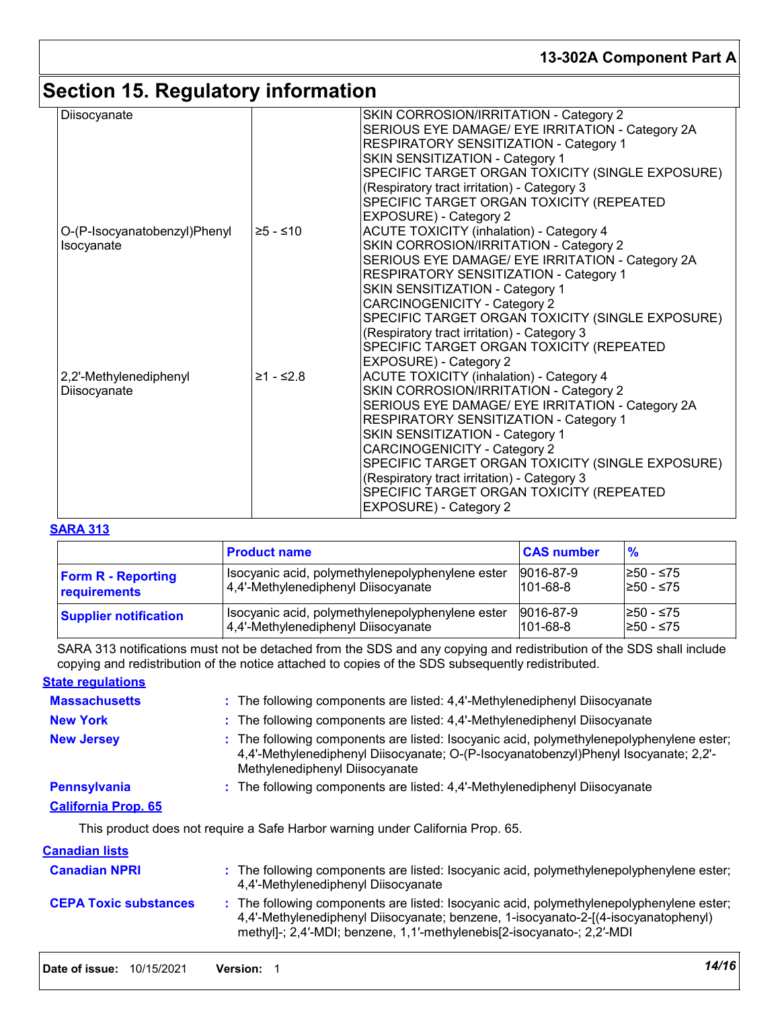## **13-302A Component Part A**

## **Section 15. Regulatory information**

| Diisocyanate                               |             | SKIN CORROSION/IRRITATION - Category 2<br>SERIOUS EYE DAMAGE/ EYE IRRITATION - Category 2A<br>RESPIRATORY SENSITIZATION - Category 1<br>SKIN SENSITIZATION - Category 1<br>SPECIFIC TARGET ORGAN TOXICITY (SINGLE EXPOSURE)<br>(Respiratory tract irritation) - Category 3<br>SPECIFIC TARGET ORGAN TOXICITY (REPEATED<br>EXPOSURE) - Category 2                                                                                           |
|--------------------------------------------|-------------|--------------------------------------------------------------------------------------------------------------------------------------------------------------------------------------------------------------------------------------------------------------------------------------------------------------------------------------------------------------------------------------------------------------------------------------------|
| O-(P-Isocyanatobenzyl)Phenyl<br>Isocyanate | $≥5 - ≤10$  | <b>ACUTE TOXICITY (inhalation) - Category 4</b><br>SKIN CORROSION/IRRITATION - Category 2<br>SERIOUS EYE DAMAGE/ EYE IRRITATION - Category 2A<br>RESPIRATORY SENSITIZATION - Category 1<br>SKIN SENSITIZATION - Category 1<br><b>CARCINOGENICITY - Category 2</b><br>SPECIFIC TARGET ORGAN TOXICITY (SINGLE EXPOSURE)<br>(Respiratory tract irritation) - Category 3<br>SPECIFIC TARGET ORGAN TOXICITY (REPEATED<br>EXPOSURE) - Category 2 |
| 2,2'-Methylenediphenyl<br>Diisocyanate     | $≥1 - ≤2.8$ | <b>ACUTE TOXICITY (inhalation) - Category 4</b><br>SKIN CORROSION/IRRITATION - Category 2<br>SERIOUS EYE DAMAGE/ EYE IRRITATION - Category 2A<br>RESPIRATORY SENSITIZATION - Category 1<br>SKIN SENSITIZATION - Category 1<br><b>CARCINOGENICITY - Category 2</b><br>SPECIFIC TARGET ORGAN TOXICITY (SINGLE EXPOSURE)<br>(Respiratory tract irritation) - Category 3<br>SPECIFIC TARGET ORGAN TOXICITY (REPEATED<br>EXPOSURE) - Category 2 |

### **SARA 313**

|                              | <b>Product name</b>                              | <b>CAS number</b> | $\frac{9}{6}$ |
|------------------------------|--------------------------------------------------|-------------------|---------------|
| <b>Form R - Reporting</b>    | Isocyanic acid, polymethylenepolyphenylene ester | 9016-87-9         | I≥50 - ≤75    |
| requirements                 | 4,4'-Methylenediphenyl Diisocyanate              | $101 - 68 - 8$    | l≥50 - ≤75    |
| <b>Supplier notification</b> | Isocyanic acid, polymethylenepolyphenylene ester | 9016-87-9         | I≥50 - ≤75    |
|                              | 4,4'-Methylenediphenyl Diisocyanate              | $101 - 68 - 8$    | I≥50 - ≤75    |

SARA 313 notifications must not be detached from the SDS and any copying and redistribution of the SDS shall include copying and redistribution of the notice attached to copies of the SDS subsequently redistributed.

### **State regulations**

| <b>Massachusetts</b>       | : The following components are listed: 4,4'-Methylenediphenyl Diisocyanate                                                                                                                                        |
|----------------------------|-------------------------------------------------------------------------------------------------------------------------------------------------------------------------------------------------------------------|
| <b>New York</b>            | : The following components are listed: 4,4'-Methylenediphenyl Diisocyanate                                                                                                                                        |
| <b>New Jersey</b>          | : The following components are listed: Isocyanic acid, polymethylenepolyphenylene ester;<br>4,4'-Methylenediphenyl Diisocyanate; O-(P-Isocyanatobenzyl)Phenyl Isocyanate; 2,2'-<br>Methylenediphenyl Diisocyanate |
| <b>Pennsylvania</b>        | : The following components are listed: 4,4'-Methylenediphenyl Diisocyanate                                                                                                                                        |
| <b>California Prop. 65</b> |                                                                                                                                                                                                                   |
|                            | This product does not require a Safe Harbor warning under California Prop. 65.                                                                                                                                    |
| <u>Canadian lists</u>      |                                                                                                                                                                                                                   |
| Conodian NDDI              | . The fellowing components are listed: locavanic soid, polymethylonopolyphonylone seter:                                                                                                                          |

| <b>Canadian NPRI</b>         | : The following components are listed: Isocyanic acid, polymethylenepolyphenylene ester;<br>4,4'-Methylenediphenyl Diisocyanate                                                                                                                         |
|------------------------------|---------------------------------------------------------------------------------------------------------------------------------------------------------------------------------------------------------------------------------------------------------|
| <b>CEPA Toxic substances</b> | : The following components are listed: Isocyanic acid, polymethylenepolyphenylene ester;<br>4.4'-Methylenediphenyl Diisocyanate; benzene, 1-isocyanato-2-[(4-isocyanatophenyl)<br>methyl-; 2,4'-MDI; benzene, 1,1'-methylenebis[2-isocyanato-; 2,2'-MDI |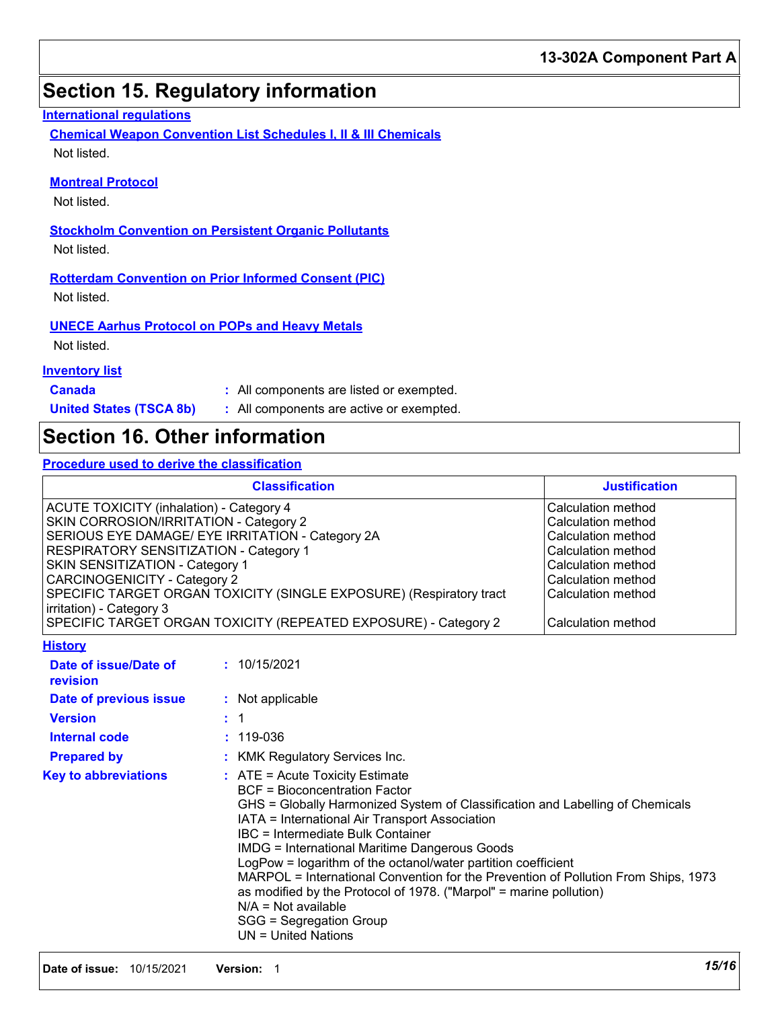## **Section 15. Regulatory information**

### **International regulations**

**Chemical Weapon Convention List Schedules I, II & III Chemicals** Not listed.

### **Montreal Protocol**

Not listed.

**Stockholm Convention on Persistent Organic Pollutants** Not listed.

**Rotterdam Convention on Prior Informed Consent (PIC)** Not listed.

**UNECE Aarhus Protocol on POPs and Heavy Metals**

Not listed.

### **Inventory list**

**Canada :** All components are listed or exempted.

**United States (TSCA 8b) :** All components are active or exempted.

## **Section 16. Other information**

**Procedure used to derive the classification**

|                                                                                                                                                                                                                                                                                                                                                                                                                                         |                      | <b>Classification</b>                                                                                                                                                                                                                                                                                                                                                                                                                                                                                                                                                                                                      |                                                                                                                                                                              |  |
|-----------------------------------------------------------------------------------------------------------------------------------------------------------------------------------------------------------------------------------------------------------------------------------------------------------------------------------------------------------------------------------------------------------------------------------------|----------------------|----------------------------------------------------------------------------------------------------------------------------------------------------------------------------------------------------------------------------------------------------------------------------------------------------------------------------------------------------------------------------------------------------------------------------------------------------------------------------------------------------------------------------------------------------------------------------------------------------------------------------|------------------------------------------------------------------------------------------------------------------------------------------------------------------------------|--|
|                                                                                                                                                                                                                                                                                                                                                                                                                                         | <b>Justification</b> |                                                                                                                                                                                                                                                                                                                                                                                                                                                                                                                                                                                                                            |                                                                                                                                                                              |  |
| <b>ACUTE TOXICITY (inhalation) - Category 4</b><br>SKIN CORROSION/IRRITATION - Category 2<br>SERIOUS EYE DAMAGE/ EYE IRRITATION - Category 2A<br>RESPIRATORY SENSITIZATION - Category 1<br>SKIN SENSITIZATION - Category 1<br><b>CARCINOGENICITY - Category 2</b><br>SPECIFIC TARGET ORGAN TOXICITY (SINGLE EXPOSURE) (Respiratory tract<br>irritation) - Category 3<br>SPECIFIC TARGET ORGAN TOXICITY (REPEATED EXPOSURE) - Category 2 |                      |                                                                                                                                                                                                                                                                                                                                                                                                                                                                                                                                                                                                                            | Calculation method<br>Calculation method<br>Calculation method<br>Calculation method<br>Calculation method<br>Calculation method<br>Calculation method<br>Calculation method |  |
| <b>History</b>                                                                                                                                                                                                                                                                                                                                                                                                                          |                      |                                                                                                                                                                                                                                                                                                                                                                                                                                                                                                                                                                                                                            |                                                                                                                                                                              |  |
| Date of issue/Date of<br>revision                                                                                                                                                                                                                                                                                                                                                                                                       |                      | : 10/15/2021                                                                                                                                                                                                                                                                                                                                                                                                                                                                                                                                                                                                               |                                                                                                                                                                              |  |
| Date of previous issue                                                                                                                                                                                                                                                                                                                                                                                                                  |                      | : Not applicable                                                                                                                                                                                                                                                                                                                                                                                                                                                                                                                                                                                                           |                                                                                                                                                                              |  |
| <b>Version</b>                                                                                                                                                                                                                                                                                                                                                                                                                          |                      | $\mathbf 1$                                                                                                                                                                                                                                                                                                                                                                                                                                                                                                                                                                                                                |                                                                                                                                                                              |  |
| <b>Internal code</b>                                                                                                                                                                                                                                                                                                                                                                                                                    |                      | $: 119 - 036$                                                                                                                                                                                                                                                                                                                                                                                                                                                                                                                                                                                                              |                                                                                                                                                                              |  |
| <b>Prepared by</b>                                                                                                                                                                                                                                                                                                                                                                                                                      |                      | <b>KMK Regulatory Services Inc.</b>                                                                                                                                                                                                                                                                                                                                                                                                                                                                                                                                                                                        |                                                                                                                                                                              |  |
| <b>Key to abbreviations</b>                                                                                                                                                                                                                                                                                                                                                                                                             |                      | $:$ ATE = Acute Toxicity Estimate<br><b>BCF = Bioconcentration Factor</b><br>GHS = Globally Harmonized System of Classification and Labelling of Chemicals<br>IATA = International Air Transport Association<br><b>IBC</b> = Intermediate Bulk Container<br><b>IMDG = International Maritime Dangerous Goods</b><br>LogPow = logarithm of the octanol/water partition coefficient<br>MARPOL = International Convention for the Prevention of Pollution From Ships, 1973<br>as modified by the Protocol of 1978. ("Marpol" = marine pollution)<br>$N/A = Not available$<br>SGG = Segregation Group<br>$UN = United Nations$ |                                                                                                                                                                              |  |